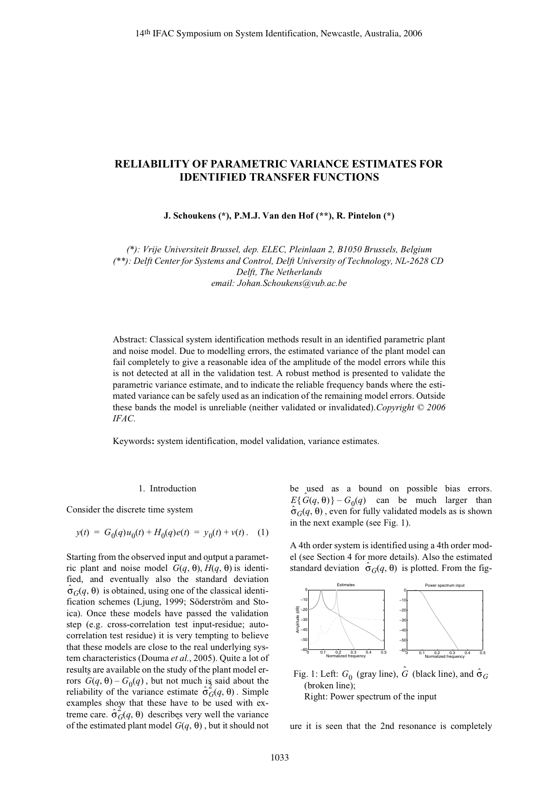## **RELIABILITY OF PARAMETRIC VARIANCE ESTIMATES FOR IDENTIFIED TRANSFER FUNCTIONS**

**J. Schoukens (\*), P.M.J. Van den Hof (\*\*), R. Pintelon (\*)**

*(\*): Vrije Universiteit Brussel, dep. ELEC, Pleinlaan 2, B1050 Brussels, Belgium (\*\*): Delft Center for Systems and Control, Delft University of Technology, NL-2628 CD Delft, The Netherlands email: Johan.Schoukens@vub.ac.be*

Abstract: Classical system identification methods result in an identified parametric plant and noise model. Due to modelling errors, the estimated variance of the plant model can fail completely to give a reasonable idea of the amplitude of the model errors while this is not detected at all in the validation test. A robust method is presented to validate the parametric variance estimate, and to indicate the reliable frequency bands where the estimated variance can be safely used as an indication of the remaining model errors. Outside these bands the model is unreliable (neither validated or invalidated).*Copyright © 2006 IFAC.*

Keywords**:** system identification, model validation, variance estimates.

#### 1. Introduction

Consider the discrete time system

$$
y(t) = G_0(q)u_0(t) + H_0(q)e(t) = y_0(t) + v(t).
$$
 (1)

Starting from the observed input and output a parametric plant and noise model  $G(q, \theta)$ ,  $H(q, \theta)$  is identified, and eventually also the standard deviation  $\hat{\sigma}_G(q, \theta)$  is obtained, using one of the classical identification schemes (Ljung, 1999; Söderström and Stoica). Once these models have passed the validation step (e.g. cross-correlation test input-residue; autocorrelation test residue) it is very tempting to believe that these models are close to the real underlying system characteristics (Douma *et al.*, 2005). Quite a lot of results are available on the study of the plant model errors  $G(q, \theta) - G_0(q)$ , but not much is said about the reliability of the variance estimate  $\hat{\sigma}_G^2(q, \theta)$ . Simple examples show that these have to be used with extreme care.  $\hat{\sigma}_G(q, \theta)$  describes very well the variance of the estimated plant model  $\hat{G}(q, \theta)$ , but it should not

be used as a bound on possible bias errors.  $E\{\hat{G}(q, \theta)\} - G_0(q)$  can be much larger than  $\hat{\sigma}_G(q, \theta)$ , even for fully validated models as is shown in the next example (see Fig. 1).

A 4th order system is identified using a 4th order model (see Section 4 for more details). Also the estimated standard deviation  $\hat{\sigma}_G(q, \theta)$  is plotted. From the fig-





ure it is seen that the 2nd resonance is completely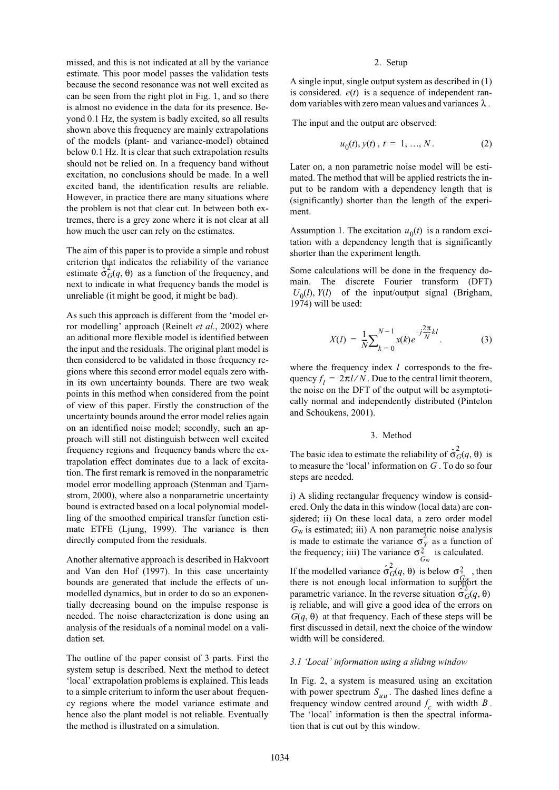missed, and this is not indicated at all by the variance estimate. This poor model passes the validation tests because the second resonance was not well excited as can be seen from the right plot in Fig. 1, and so there is almost no evidence in the data for its presence. Beyond 0.1 Hz, the system is badly excited, so all results shown above this frequency are mainly extrapolations of the models (plant- and variance-model) obtained below 0.1 Hz. It is clear that such extrapolation results should not be relied on. In a frequency band without excitation, no conclusions should be made. In a well excited band, the identification results are reliable. However, in practice there are many situations where the problem is not that clear cut. In between both extremes, there is a grey zone where it is not clear at all how much the user can rely on the estimates.

The aim of this paper is to provide a simple and robust criterion that indicates the reliability of the variance estimate  $\sigma_G(q, \theta)$  as a function of the frequency, and next to indicate in what frequency bands the model is unreliable (it might be good, it might be bad).

As such this approach is different from the 'model error modelling' approach (Reinelt *et al.*, 2002) where an aditional more flexible model is identified between the input and the residuals. The original plant model is then considered to be validated in those frequency regions where this second error model equals zero within its own uncertainty bounds. There are two weak points in this method when considered from the point of view of this paper. Firstly the construction of the uncertainty bounds around the error model relies again on an identified noise model; secondly, such an approach will still not distinguish between well excited frequency regions and frequency bands where the extrapolation effect dominates due to a lack of excitation. The first remark is removed in the nonparametric model error modelling approach (Stenman and Tjarnstrom, 2000), where also a nonparametric uncertainty bound is extracted based on a local polynomial modelling of the smoothed empirical transfer function estimate ETFE (Ljung, 1999). The variance is then directly computed from the residuals.

Another alternative approach is described in Hakvoort and Van den Hof (1997). In this case uncertainty bounds are generated that include the effects of unmodelled dynamics, but in order to do so an exponentially decreasing bound on the impulse response is needed. The noise characterization is done using an analysis of the residuals of a nominal model on a validation set.

The outline of the paper consist of 3 parts. First the system setup is described. Next the method to detect 'local' extrapolation problems is explained. This leads to a simple criterium to inform the user about frequency regions where the model variance estimate and hence also the plant model is not reliable. Eventually the method is illustrated on a simulation.

#### 2. Setup

A single input, single output system as described in (1) is considered.  $e(t)$  is a sequence of independent random variables with zero mean values and variances  $\lambda$ .

The input and the output are observed:

$$
u_0(t), y(t), t = 1, ..., N.
$$
 (2)

Later on, a non parametric noise model will be estimated. The method that will be applied restricts the input to be random with a dependency length that is (significantly) shorter than the length of the experiment.

Assumption 1. The excitation  $u_0(t)$  is a random excitation with a dependency length that is significantly shorter than the experiment length.

Some calculations will be done in the frequency domain. The discrete Fourier transform (DFT)  $U_0(l)$ ,  $Y(l)$  of the input/output signal (Brigham, 1974) will be used:

$$
X(l) = \frac{1}{N} \sum_{k=0}^{N-1} x(k) e^{-j\frac{2\pi}{N}kl}.
$$
 (3)

where the frequency index  $l$  corresponds to the frequency  $f_l = 2\pi l/N$ . Due to the central limit theorem, the noise on the DFT of the output will be asymptotically normal and independently distributed (Pintelon and Schoukens, 2001).

### 3. Method

The basic idea to estimate the reliability of  $\hat{\sigma}_G^2(q, \theta)$  is to measure the 'local' information on  $G$ . To do so four steps are needed.

i) A sliding rectangular frequency window is considered. Only the data in this window (local data) are considered; ii) On these local data, a zero order model  $\hat{G}_{\text{w}}$  is estimated; iii) A non parametric noise analysis is made to estimate the variance  $\sigma_Y^2$  as a function of the frequency; iiii) The variance  $\sigma^2$  is calculated.  $\sigma_{\gamma}^2$  $σ<sup>2</sup><sub>Gw</sub>$ 

If the modelled variance  $\hat{\sigma}_G^2(q, \theta)$  is below  $\sigma_\sigma^2$ , then there is not enough local information to support the  $\alpha$  is the variance. In the reverse situation  $σ<sub>G</sub>(q, θ)$ is reliable, and will give a good idea of the errors on  $G(q, \theta)$  at that frequency. Each of these steps will be first discussed in detail, next the choice of the window width will be considered.

#### *3.1 'Local' information using a sliding window*

In Fig. 2, a system is measured using an excitation with power spectrum  $S_{uu}$ . The dashed lines define a frequency window centred around  $f_c$  with width  $B$ . The 'local' information is then the spectral information that is cut out by this window.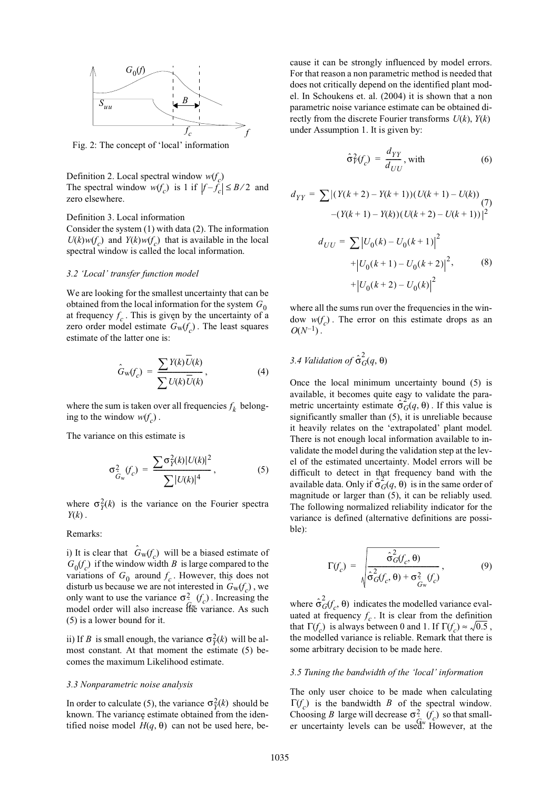

Fig. 2: The concept of 'local' information

Definition 2. Local spectral window  $w(f_c)$ The spectral window  $w(f_c)$  is 1 if  $|f - f_c| \leq B/2$  and zero elsewhere.

#### Definition 3. Local information

Consider the system (1) with data (2). The information  $U(k)w(f_c)$  and  $Y(k)w(f_c)$  that is available in the local spectral window is called the local information.

#### *3.2 'Local' transfer function model*

We are looking for the smallest uncertainty that can be obtained from the local information for the system  $G_0$ at frequency  $f_c$ . This is given by the uncertainty of a zero order model estimate  $G_w(f_c)$ . The least squares estimate of the latter one is:

$$
\hat{G}_{\rm w}(f_c) = \frac{\sum Y(k)\overline{U}(k)}{\sum U(k)\overline{U}(k)},\tag{4}
$$

where the sum is taken over all frequencies  $f_k$  belonging to the window  $w(f_c)$ .

The variance on this estimate is

$$
\sigma_{\hat{G}_{w}}^{2}(f_{c}) = \frac{\sum \sigma_{Y}^{2}(k)|U(k)|^{2}}{\sum |U(k)|^{4}}, \qquad (5)
$$

where  $\sigma_Y^2(k)$  is the variance on the Fourier spectra  $Y(k)$ .

#### Remarks:

i) It is clear that  $\hat{G}_w(f_c)$  will be a biased estimate of  $G_0(f_c)$  if the window width *B* is large compared to the variations of  $G_0$  around  $f_c$ . However, this does not disturb us because we are not interested in  $G_w(f_c)$ , we only want to use the variance  $\sigma_{\hat{G}_{\text{max}}}^2(f_c)$ . Increasing the model order will also increase the variance. As such (5) is a lower bound for it.

ii) If *B* is small enough, the variance  $\sigma_Y^2(k)$  will be almost constant. At that moment the estimate (5) becomes the maximum Likelihood estimate.

#### *3.3 Nonparametric noise analysis*

In order to calculate (5), the variance  $\sigma_Y^2(k)$  should be known. The variance estimate obtained from the identified noise model  $\hat{H}(q, \theta)$  can not be used here, be-

cause it can be strongly influenced by model errors. For that reason a non parametric method is needed that does not critically depend on the identified plant model. In Schoukens et. al. (2004) it is shown that a non parametric noise variance estimate can be obtained directly from the discrete Fourier transforms  $U(k)$ ,  $Y(k)$ under Assumption 1. It is given by:

$$
\hat{\sigma}_V^2(f_c) = \frac{d_{YY}}{d_{UU}}, \text{with} \tag{6}
$$

$$
d_{YY} = \sum |(Y(k+2) - Y(k+1))(U(k+1) - U(k)) \tag{7}
$$

$$
-(Y(k+1) - Y(k))(U(k+2) - U(k+1))|^2
$$

$$
d_{UU} = \sum |U_0(k) - U_0(k+1)|^2
$$
  
+  $|U_0(k+1) - U_0(k+2)|^2$ , (8)  
+  $|U_0(k+2) - U_0(k)|^2$ 

where all the sums run over the frequencies in the window  $w(f_c)$ . The error on this estimate drops as an  $O(N^{-1})$ .

# 3.4 Validation of  $\hat{\sigma}_G^2(q, θ)$

Once the local minimum uncertainty bound (5) is available, it becomes quite easy to validate the parametric uncertainty estimate  $\sigma_G(q, \theta)$ . If this value is significantly smaller than (5), it is unreliable because it heavily relates on the 'extrapolated' plant model. There is not enough local information available to invalidate the model during the validation step at the level of the estimated uncertainty. Model errors will be difficult to detect in that frequency band with the available data. Only if  $\sigma_G(q, \theta)$  is in the same order of magnitude or larger than (5), it can be reliably used. The following normalized reliability indicator for the variance is defined (alternative definitions are possible):

$$
\Gamma(f_c) = \sqrt{\frac{\hat{\sigma}_G^2(f_c, \theta)}{\hat{\sigma}_G^2(f_c, \theta) + \sigma_{\hat{G}_w}^2(f_c)}},
$$
\n(9)

where  $\hat{\sigma}_G^2(f_c, \theta)$  indicates the modelled variance evaluated at frequency  $f_c$ . It is clear from the definition that  $\Gamma(f_c)$  is always between 0 and 1. If  $\Gamma(f_c) \approx \sqrt{0.5}$ , the modelled variance is reliable. Remark that there is some arbitrary decision to be made here.

#### *3.5 Tuning the bandwidth of the 'local' information*

The only user choice to be made when calculating  $\Gamma(f_c)$  is the bandwidth *B* of the spectral window. Choosing *B* large will decrease  $\sigma_{\hat{G}_{\alpha}}^2$  (*f<sub>c</sub>*) so that smaller uncertainty levels can be used.<sup>*G*</sup>  $V_c$  so that smaller uncertainty levels can be used.<sup>*G*</sup>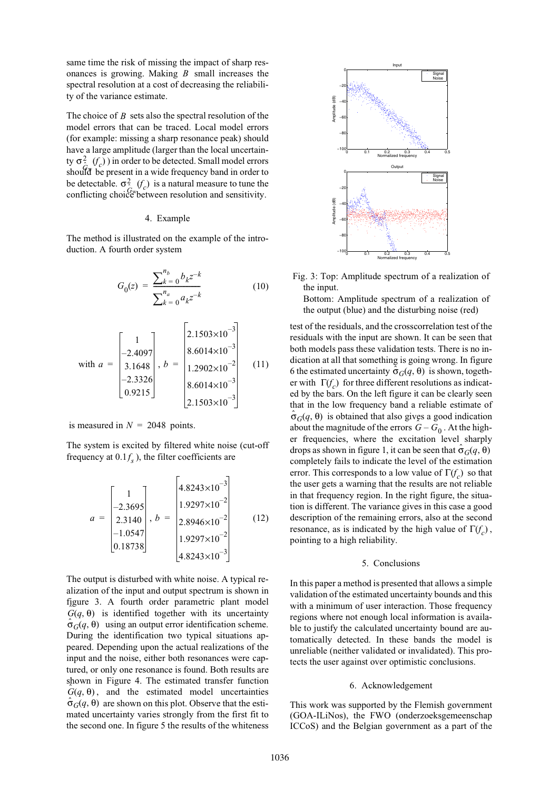same time the risk of missing the impact of sharp resonances is growing. Making  $B$  small increases the spectral resolution at a cost of decreasing the reliability of the variance estimate.

The choice of  $B$  sets also the spectral resolution of the model errors that can be traced. Local model errors (for example: missing a sharp resonance peak) should have a large amplitude (larger than the local uncertainty  $\sigma_{\hat{G}_{\text{max}}}^2(f_c)$ ) in order to be detected. Small model errors should be present in a wide frequency band in order to<br>should be present in a wide frequency band in order to be detectable.  $\sigma^2_{\hat{z}}(f_c)$  is a natural measure to tune the conflicting choice between resolution and sensitivity.  $\sigma^2$   $(f_c)$ <br>*i*  $G$ <sup>what</sup>

#### 4. Example

The method is illustrated on the example of the introduction. A fourth order system

$$
G_0(z) = \frac{\sum_{k=0}^{n_b} b_k z^{-k}}{\sum_{k=0}^{n_a} a_k z^{-k}}
$$
 (10)

with 
$$
a = \begin{bmatrix} 1 \\ -2.4097 \\ 3.1648 \\ -2.3326 \\ 0.9215 \end{bmatrix}
$$
,  $b = \begin{bmatrix} 2.1503 \times 10^{-3} \\ 8.6014 \times 10^{-3} \\ 1.2902 \times 10^{-2} \\ 8.6014 \times 10^{-3} \\ 2.1503 \times 10^{-3} \end{bmatrix}$  (11)

is measured in  $N = 2048$  points.

The system is excited by filtered white noise (cut-off frequency at  $0.1 f_s$ ), the filter coefficients are

$$
a = \begin{bmatrix} 1 \\ -2.3695 \\ 2.3140 \\ -1.0547 \\ 0.18738 \end{bmatrix}, b = \begin{bmatrix} 4.8243 \times 10^{-3} \\ 1.9297 \times 10^{-2} \\ 2.8946 \times 10^{-2} \\ 1.9297 \times 10^{-2} \\ 4.8243 \times 10^{-3} \end{bmatrix}
$$
(12)

The output is disturbed with white noise. A typical realization of the input and output spectrum is shown in figure 3. A fourth order parametric plant model  $G(q, \theta)$  is identified together with its uncertainty  $\hat{\sigma}_G(q, \theta)$  using an output error identification scheme. During the identification two typical situations appeared. Depending upon the actual realizations of the input and the noise, either both resonances were captured, or only one resonance is found. Both results are shown in Figure 4. The estimated transfer function  $G(q, \theta)$ , and the estimated model uncertainties  $\hat{\sigma}_G(q, \theta)$  are shown on this plot. Observe that the estimated uncertainty varies strongly from the first fit to the second one. In figure 5 the results of the whiteness



 Fig. 3: Top: Amplitude spectrum of a realization of the input.

Bottom: Amplitude spectrum of a realization of the output (blue) and the disturbing noise (red)

test of the residuals, and the crosscorrelation test of the residuals with the input are shown. It can be seen that both models pass these validation tests. There is no indication at all that something is going wrong. In figure 6 the estimated uncertainty  $\hat{\sigma}_G(q, \theta)$  is shown, together with  $\Gamma(f_c)$  for three different resolutions as indicated by the bars. On the left figure it can be clearly seen that in the low frequency band a reliable estimate of  $\hat{\sigma}_G(q, \theta)$  is obtained that also gives a good indication about the magnitude of the errors  $G - G_0$ . At the higher frequencies, where the excitation level sharply drops as shown in figure 1, it can be seen that  $\hat{\sigma}_G(q, \theta)$ completely fails to indicate the level of the estimation error. This corresponds to a low value of  $\Gamma(f_c)$  so that the user gets a warning that the results are not reliable in that frequency region. In the right figure, the situation is different. The variance gives in this case a good description of the remaining errors, also at the second resonance, as is indicated by the high value of  $\Gamma(f_c)$ , pointing to a high reliability.

#### 5. Conclusions

In this paper a method is presented that allows a simple validation of the estimated uncertainty bounds and this with a minimum of user interaction. Those frequency regions where not enough local information is available to justify the calculated uncertainty bound are automatically detected. In these bands the model is unreliable (neither validated or invalidated). This protects the user against over optimistic conclusions.

#### 6. Acknowledgement

This work was supported by the Flemish government (GOA-ILiNos), the FWO (onderzoeksgemeenschap ICCoS) and the Belgian government as a part of the